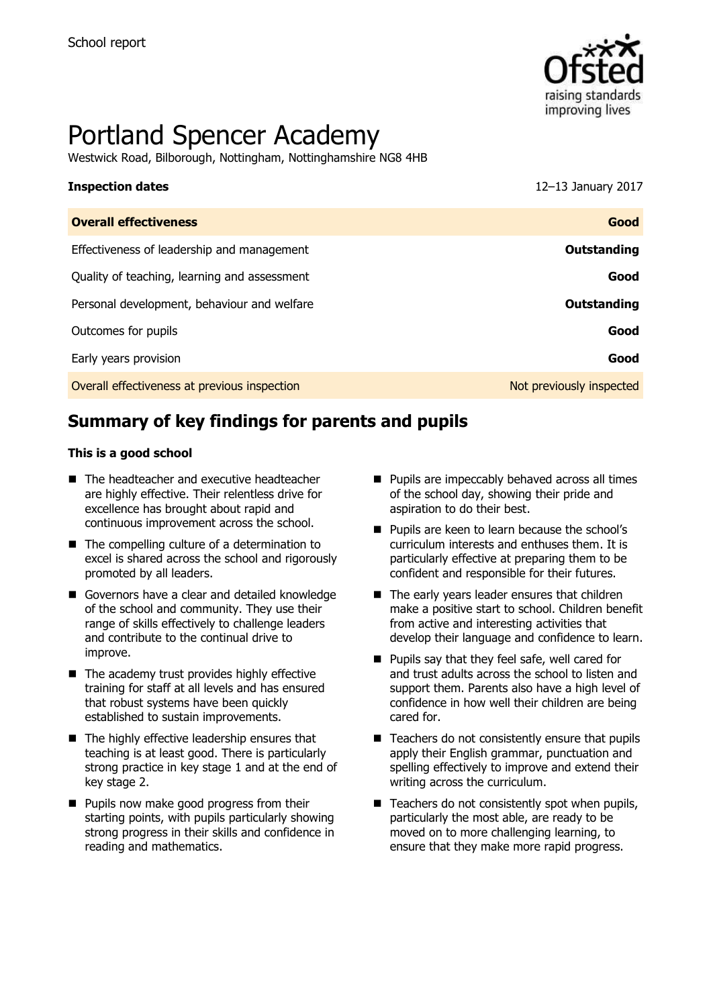

# Portland Spencer Academy

Westwick Road, Bilborough, Nottingham, Nottinghamshire NG8 4HB

# **Inspection dates** 12–13 January 2017

| <b>Overall effectiveness</b>                 | Good                     |
|----------------------------------------------|--------------------------|
| Effectiveness of leadership and management   | Outstanding              |
| Quality of teaching, learning and assessment | Good                     |
| Personal development, behaviour and welfare  | Outstanding              |
| Outcomes for pupils                          | Good                     |
| Early years provision                        | Good                     |
| Overall effectiveness at previous inspection | Not previously inspected |

# **Summary of key findings for parents and pupils**

### **This is a good school**

- The headteacher and executive headteacher are highly effective. Their relentless drive for excellence has brought about rapid and continuous improvement across the school.
- The compelling culture of a determination to excel is shared across the school and rigorously promoted by all leaders.
- Governors have a clear and detailed knowledge of the school and community. They use their range of skills effectively to challenge leaders and contribute to the continual drive to improve.
- $\blacksquare$  The academy trust provides highly effective training for staff at all levels and has ensured that robust systems have been quickly established to sustain improvements.
- $\blacksquare$  The highly effective leadership ensures that teaching is at least good. There is particularly strong practice in key stage 1 and at the end of key stage 2.
- **Pupils now make good progress from their** starting points, with pupils particularly showing strong progress in their skills and confidence in reading and mathematics.
- Pupils are impeccably behaved across all times of the school day, showing their pride and aspiration to do their best.
- **Pupils are keen to learn because the school's** curriculum interests and enthuses them. It is particularly effective at preparing them to be confident and responsible for their futures.
- The early years leader ensures that children make a positive start to school. Children benefit from active and interesting activities that develop their language and confidence to learn.
- **Pupils say that they feel safe, well cared for** and trust adults across the school to listen and support them. Parents also have a high level of confidence in how well their children are being cared for.
- $\blacksquare$  Teachers do not consistently ensure that pupils apply their English grammar, punctuation and spelling effectively to improve and extend their writing across the curriculum.
- $\blacksquare$  Teachers do not consistently spot when pupils, particularly the most able, are ready to be moved on to more challenging learning, to ensure that they make more rapid progress.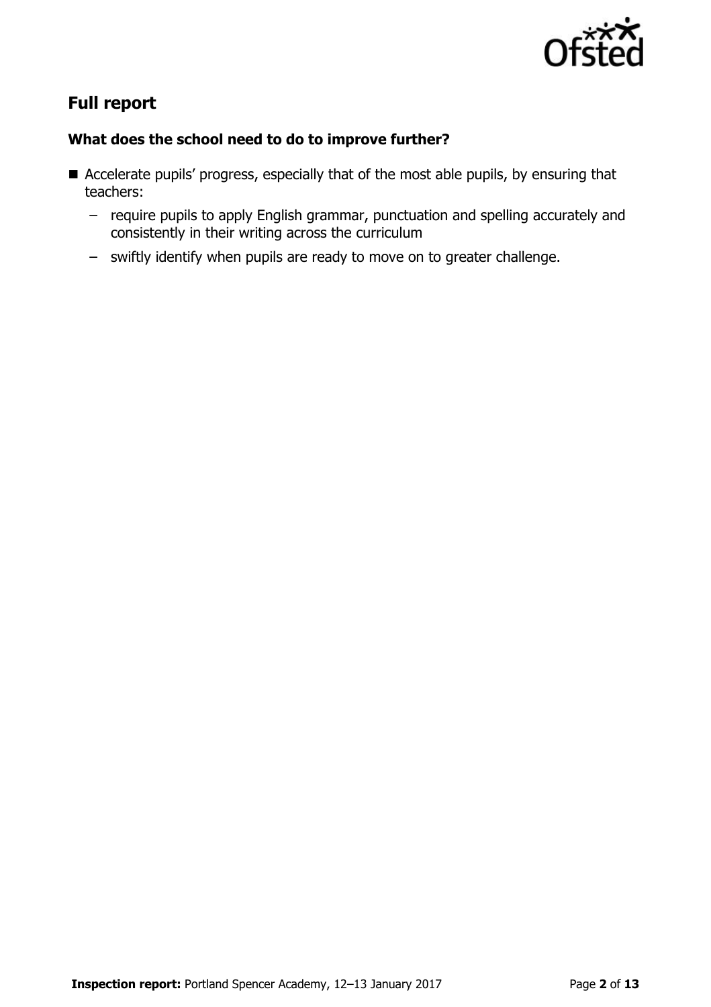

# **Full report**

### **What does the school need to do to improve further?**

- Accelerate pupils' progress, especially that of the most able pupils, by ensuring that teachers:
	- require pupils to apply English grammar, punctuation and spelling accurately and consistently in their writing across the curriculum
	- swiftly identify when pupils are ready to move on to greater challenge.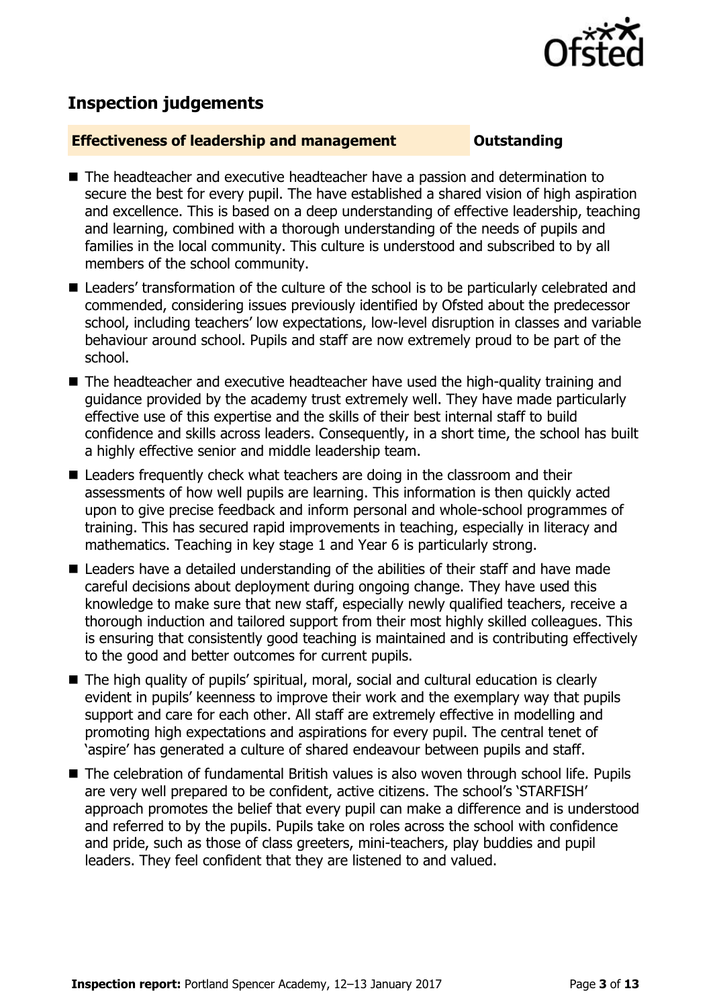

## **Inspection judgements**

### **Effectiveness of leadership and management COULDER COULDER OUTSTANDING**

- The headteacher and executive headteacher have a passion and determination to secure the best for every pupil. The have established a shared vision of high aspiration and excellence. This is based on a deep understanding of effective leadership, teaching and learning, combined with a thorough understanding of the needs of pupils and families in the local community. This culture is understood and subscribed to by all members of the school community.
- Leaders' transformation of the culture of the school is to be particularly celebrated and commended, considering issues previously identified by Ofsted about the predecessor school, including teachers' low expectations, low-level disruption in classes and variable behaviour around school. Pupils and staff are now extremely proud to be part of the school.
- The headteacher and executive headteacher have used the high-quality training and guidance provided by the academy trust extremely well. They have made particularly effective use of this expertise and the skills of their best internal staff to build confidence and skills across leaders. Consequently, in a short time, the school has built a highly effective senior and middle leadership team.
- Leaders frequently check what teachers are doing in the classroom and their assessments of how well pupils are learning. This information is then quickly acted upon to give precise feedback and inform personal and whole-school programmes of training. This has secured rapid improvements in teaching, especially in literacy and mathematics. Teaching in key stage 1 and Year 6 is particularly strong.
- Leaders have a detailed understanding of the abilities of their staff and have made careful decisions about deployment during ongoing change. They have used this knowledge to make sure that new staff, especially newly qualified teachers, receive a thorough induction and tailored support from their most highly skilled colleagues. This is ensuring that consistently good teaching is maintained and is contributing effectively to the good and better outcomes for current pupils.
- The high quality of pupils' spiritual, moral, social and cultural education is clearly evident in pupils' keenness to improve their work and the exemplary way that pupils support and care for each other. All staff are extremely effective in modelling and promoting high expectations and aspirations for every pupil. The central tenet of 'aspire' has generated a culture of shared endeavour between pupils and staff.
- The celebration of fundamental British values is also woven through school life. Pupils are very well prepared to be confident, active citizens. The school's 'STARFISH' approach promotes the belief that every pupil can make a difference and is understood and referred to by the pupils. Pupils take on roles across the school with confidence and pride, such as those of class greeters, mini-teachers, play buddies and pupil leaders. They feel confident that they are listened to and valued.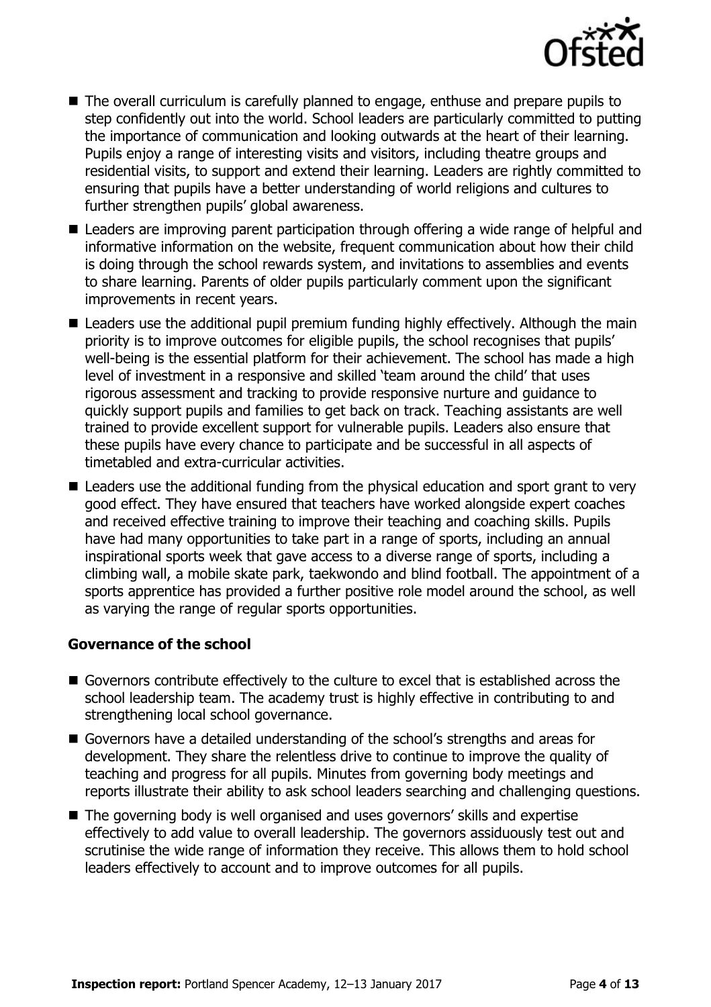

- The overall curriculum is carefully planned to engage, enthuse and prepare pupils to step confidently out into the world. School leaders are particularly committed to putting the importance of communication and looking outwards at the heart of their learning. Pupils enjoy a range of interesting visits and visitors, including theatre groups and residential visits, to support and extend their learning. Leaders are rightly committed to ensuring that pupils have a better understanding of world religions and cultures to further strengthen pupils' global awareness.
- Leaders are improving parent participation through offering a wide range of helpful and informative information on the website, frequent communication about how their child is doing through the school rewards system, and invitations to assemblies and events to share learning. Parents of older pupils particularly comment upon the significant improvements in recent years.
- Leaders use the additional pupil premium funding highly effectively. Although the main priority is to improve outcomes for eligible pupils, the school recognises that pupils' well-being is the essential platform for their achievement. The school has made a high level of investment in a responsive and skilled 'team around the child' that uses rigorous assessment and tracking to provide responsive nurture and guidance to quickly support pupils and families to get back on track. Teaching assistants are well trained to provide excellent support for vulnerable pupils. Leaders also ensure that these pupils have every chance to participate and be successful in all aspects of timetabled and extra-curricular activities.
- Leaders use the additional funding from the physical education and sport grant to very good effect. They have ensured that teachers have worked alongside expert coaches and received effective training to improve their teaching and coaching skills. Pupils have had many opportunities to take part in a range of sports, including an annual inspirational sports week that gave access to a diverse range of sports, including a climbing wall, a mobile skate park, taekwondo and blind football. The appointment of a sports apprentice has provided a further positive role model around the school, as well as varying the range of regular sports opportunities.

### **Governance of the school**

- Governors contribute effectively to the culture to excel that is established across the school leadership team. The academy trust is highly effective in contributing to and strengthening local school governance.
- Governors have a detailed understanding of the school's strengths and areas for development. They share the relentless drive to continue to improve the quality of teaching and progress for all pupils. Minutes from governing body meetings and reports illustrate their ability to ask school leaders searching and challenging questions.
- The governing body is well organised and uses governors' skills and expertise effectively to add value to overall leadership. The governors assiduously test out and scrutinise the wide range of information they receive. This allows them to hold school leaders effectively to account and to improve outcomes for all pupils.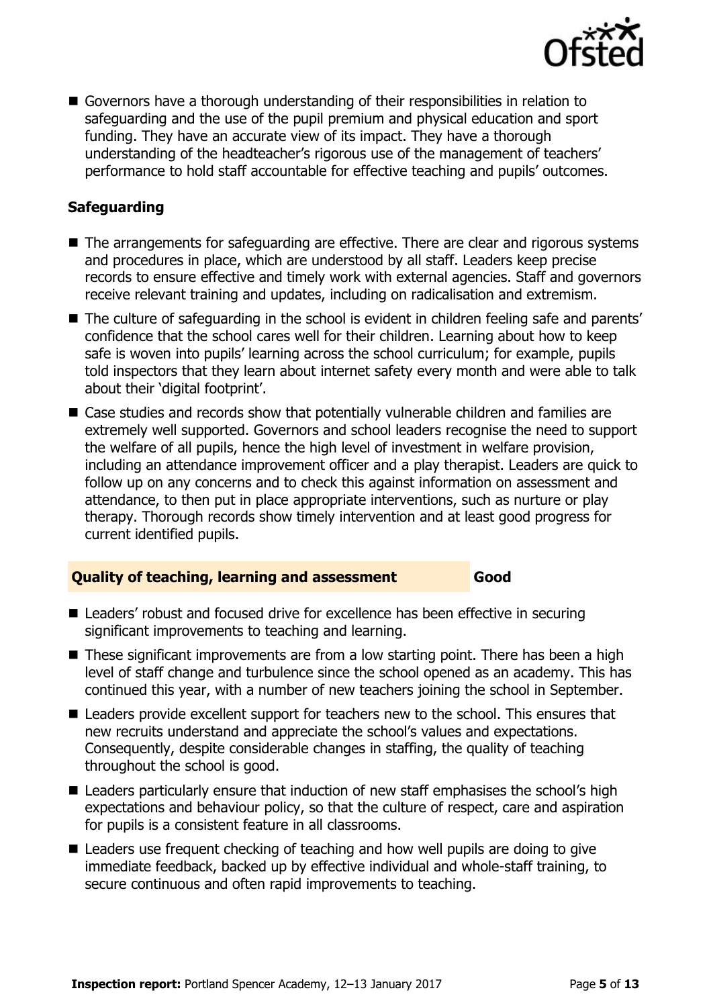

 Governors have a thorough understanding of their responsibilities in relation to safeguarding and the use of the pupil premium and physical education and sport funding. They have an accurate view of its impact. They have a thorough understanding of the headteacher's rigorous use of the management of teachers' performance to hold staff accountable for effective teaching and pupils' outcomes.

### **Safeguarding**

- The arrangements for safeguarding are effective. There are clear and rigorous systems and procedures in place, which are understood by all staff. Leaders keep precise records to ensure effective and timely work with external agencies. Staff and governors receive relevant training and updates, including on radicalisation and extremism.
- The culture of safeguarding in the school is evident in children feeling safe and parents' confidence that the school cares well for their children. Learning about how to keep safe is woven into pupils' learning across the school curriculum; for example, pupils told inspectors that they learn about internet safety every month and were able to talk about their 'digital footprint'.
- Case studies and records show that potentially vulnerable children and families are extremely well supported. Governors and school leaders recognise the need to support the welfare of all pupils, hence the high level of investment in welfare provision, including an attendance improvement officer and a play therapist. Leaders are quick to follow up on any concerns and to check this against information on assessment and attendance, to then put in place appropriate interventions, such as nurture or play therapy. Thorough records show timely intervention and at least good progress for current identified pupils.

### **Quality of teaching, learning and assessment Good**

- Leaders' robust and focused drive for excellence has been effective in securing significant improvements to teaching and learning.
- These significant improvements are from a low starting point. There has been a high level of staff change and turbulence since the school opened as an academy. This has continued this year, with a number of new teachers joining the school in September.
- Leaders provide excellent support for teachers new to the school. This ensures that new recruits understand and appreciate the school's values and expectations. Consequently, despite considerable changes in staffing, the quality of teaching throughout the school is good.
- Leaders particularly ensure that induction of new staff emphasises the school's high expectations and behaviour policy, so that the culture of respect, care and aspiration for pupils is a consistent feature in all classrooms.
- Leaders use frequent checking of teaching and how well pupils are doing to give immediate feedback, backed up by effective individual and whole-staff training, to secure continuous and often rapid improvements to teaching.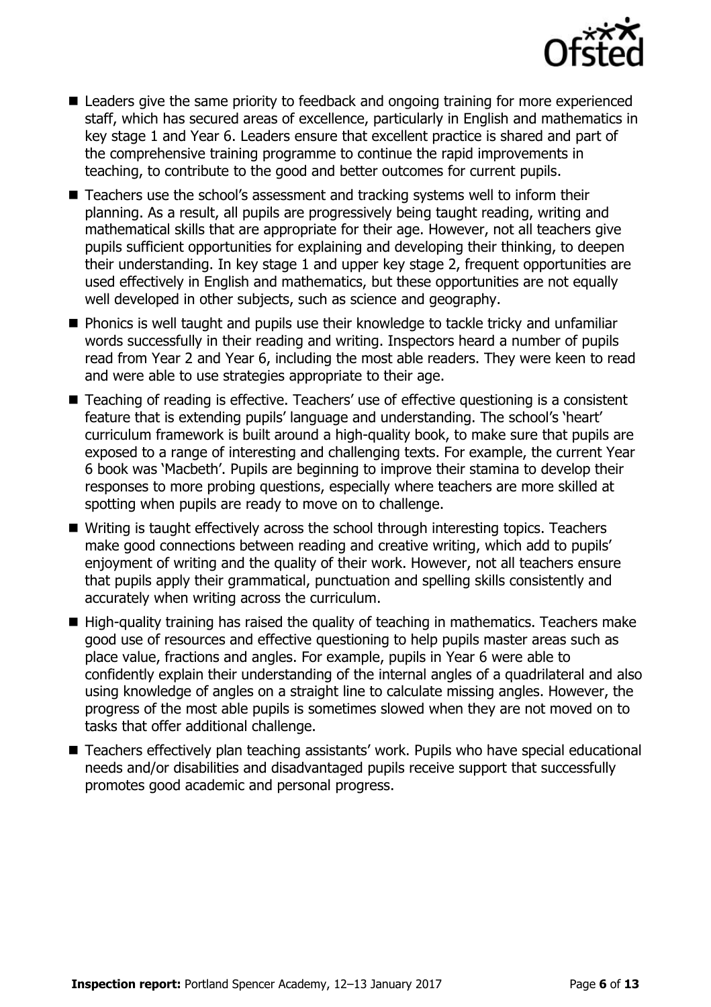

- Leaders give the same priority to feedback and ongoing training for more experienced staff, which has secured areas of excellence, particularly in English and mathematics in key stage 1 and Year 6. Leaders ensure that excellent practice is shared and part of the comprehensive training programme to continue the rapid improvements in teaching, to contribute to the good and better outcomes for current pupils.
- Teachers use the school's assessment and tracking systems well to inform their planning. As a result, all pupils are progressively being taught reading, writing and mathematical skills that are appropriate for their age. However, not all teachers give pupils sufficient opportunities for explaining and developing their thinking, to deepen their understanding. In key stage 1 and upper key stage 2, frequent opportunities are used effectively in English and mathematics, but these opportunities are not equally well developed in other subjects, such as science and geography.
- **Phonics is well taught and pupils use their knowledge to tackle tricky and unfamiliar** words successfully in their reading and writing. Inspectors heard a number of pupils read from Year 2 and Year 6, including the most able readers. They were keen to read and were able to use strategies appropriate to their age.
- Teaching of reading is effective. Teachers' use of effective questioning is a consistent feature that is extending pupils' language and understanding. The school's 'heart' curriculum framework is built around a high-quality book, to make sure that pupils are exposed to a range of interesting and challenging texts. For example, the current Year 6 book was 'Macbeth'. Pupils are beginning to improve their stamina to develop their responses to more probing questions, especially where teachers are more skilled at spotting when pupils are ready to move on to challenge.
- Writing is taught effectively across the school through interesting topics. Teachers make good connections between reading and creative writing, which add to pupils' enjoyment of writing and the quality of their work. However, not all teachers ensure that pupils apply their grammatical, punctuation and spelling skills consistently and accurately when writing across the curriculum.
- $\blacksquare$  High-quality training has raised the quality of teaching in mathematics. Teachers make good use of resources and effective questioning to help pupils master areas such as place value, fractions and angles. For example, pupils in Year 6 were able to confidently explain their understanding of the internal angles of a quadrilateral and also using knowledge of angles on a straight line to calculate missing angles. However, the progress of the most able pupils is sometimes slowed when they are not moved on to tasks that offer additional challenge.
- Teachers effectively plan teaching assistants' work. Pupils who have special educational needs and/or disabilities and disadvantaged pupils receive support that successfully promotes good academic and personal progress.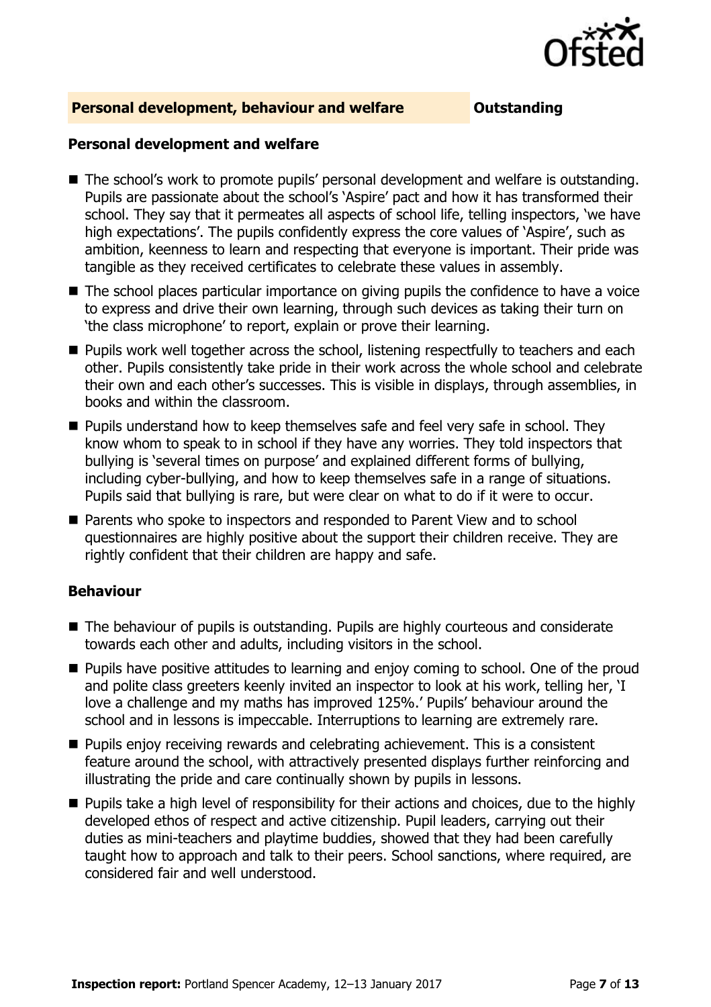

### **Personal development, behaviour and welfare <b>COUTS** Outstanding

### **Personal development and welfare**

- The school's work to promote pupils' personal development and welfare is outstanding. Pupils are passionate about the school's 'Aspire' pact and how it has transformed their school. They say that it permeates all aspects of school life, telling inspectors, 'we have high expectations'. The pupils confidently express the core values of 'Aspire', such as ambition, keenness to learn and respecting that everyone is important. Their pride was tangible as they received certificates to celebrate these values in assembly.
- The school places particular importance on giving pupils the confidence to have a voice to express and drive their own learning, through such devices as taking their turn on 'the class microphone' to report, explain or prove their learning.
- **Pupils work well together across the school, listening respectfully to teachers and each** other. Pupils consistently take pride in their work across the whole school and celebrate their own and each other's successes. This is visible in displays, through assemblies, in books and within the classroom.
- **Pupils understand how to keep themselves safe and feel very safe in school. They** know whom to speak to in school if they have any worries. They told inspectors that bullying is 'several times on purpose' and explained different forms of bullying, including cyber-bullying, and how to keep themselves safe in a range of situations. Pupils said that bullying is rare, but were clear on what to do if it were to occur.
- Parents who spoke to inspectors and responded to Parent View and to school questionnaires are highly positive about the support their children receive. They are rightly confident that their children are happy and safe.

### **Behaviour**

- The behaviour of pupils is outstanding. Pupils are highly courteous and considerate towards each other and adults, including visitors in the school.
- **Pupils have positive attitudes to learning and enjoy coming to school. One of the proud** and polite class greeters keenly invited an inspector to look at his work, telling her, 'I love a challenge and my maths has improved 125%.' Pupils' behaviour around the school and in lessons is impeccable. Interruptions to learning are extremely rare.
- **Pupils enjoy receiving rewards and celebrating achievement. This is a consistent** feature around the school, with attractively presented displays further reinforcing and illustrating the pride and care continually shown by pupils in lessons.
- **Pupils take a high level of responsibility for their actions and choices, due to the highly** developed ethos of respect and active citizenship. Pupil leaders, carrying out their duties as mini-teachers and playtime buddies, showed that they had been carefully taught how to approach and talk to their peers. School sanctions, where required, are considered fair and well understood.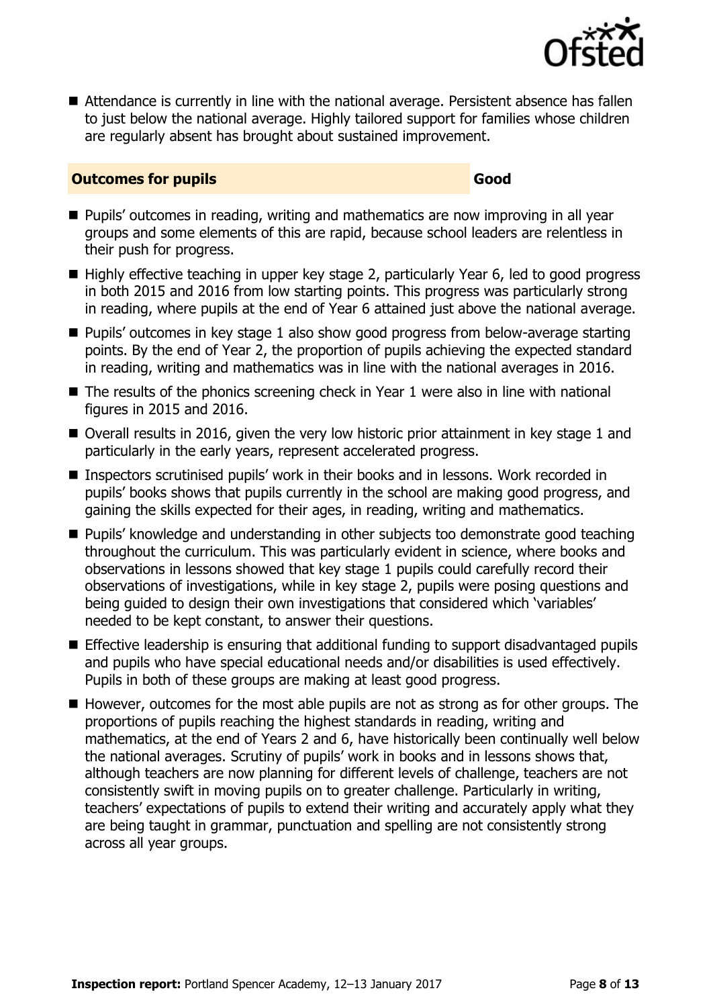

■ Attendance is currently in line with the national average. Persistent absence has fallen to just below the national average. Highly tailored support for families whose children are regularly absent has brought about sustained improvement.

### **Outcomes for pupils Good**

- **Pupils'** outcomes in reading, writing and mathematics are now improving in all year groups and some elements of this are rapid, because school leaders are relentless in their push for progress.
- Highly effective teaching in upper key stage 2, particularly Year 6, led to good progress in both 2015 and 2016 from low starting points. This progress was particularly strong in reading, where pupils at the end of Year 6 attained just above the national average.
- Pupils' outcomes in key stage 1 also show good progress from below-average starting points. By the end of Year 2, the proportion of pupils achieving the expected standard in reading, writing and mathematics was in line with the national averages in 2016.
- $\blacksquare$  The results of the phonics screening check in Year 1 were also in line with national figures in 2015 and 2016.
- Overall results in 2016, given the very low historic prior attainment in key stage 1 and particularly in the early years, represent accelerated progress.
- Inspectors scrutinised pupils' work in their books and in lessons. Work recorded in pupils' books shows that pupils currently in the school are making good progress, and gaining the skills expected for their ages, in reading, writing and mathematics.
- **Pupils'** knowledge and understanding in other subjects too demonstrate good teaching throughout the curriculum. This was particularly evident in science, where books and observations in lessons showed that key stage 1 pupils could carefully record their observations of investigations, while in key stage 2, pupils were posing questions and being guided to design their own investigations that considered which 'variables' needed to be kept constant, to answer their questions.
- **Effective leadership is ensuring that additional funding to support disadvantaged pupils** and pupils who have special educational needs and/or disabilities is used effectively. Pupils in both of these groups are making at least good progress.
- $\blacksquare$  However, outcomes for the most able pupils are not as strong as for other groups. The proportions of pupils reaching the highest standards in reading, writing and mathematics, at the end of Years 2 and 6, have historically been continually well below the national averages. Scrutiny of pupils' work in books and in lessons shows that, although teachers are now planning for different levels of challenge, teachers are not consistently swift in moving pupils on to greater challenge. Particularly in writing, teachers' expectations of pupils to extend their writing and accurately apply what they are being taught in grammar, punctuation and spelling are not consistently strong across all year groups.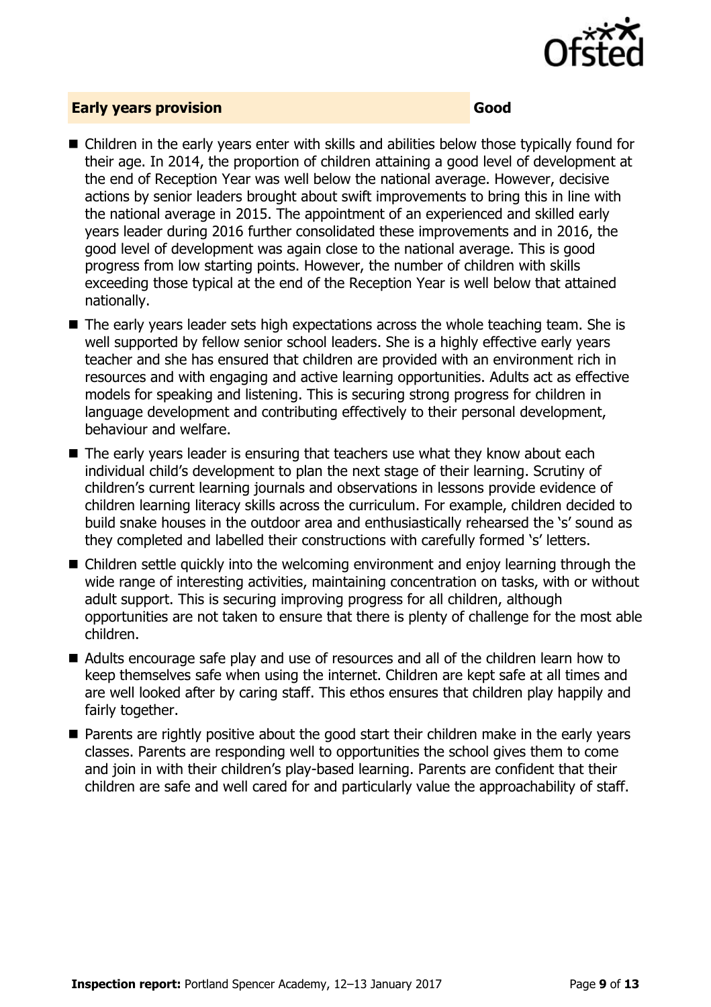

### **Early years provision Good**

- Children in the early years enter with skills and abilities below those typically found for their age. In 2014, the proportion of children attaining a good level of development at the end of Reception Year was well below the national average. However, decisive actions by senior leaders brought about swift improvements to bring this in line with the national average in 2015. The appointment of an experienced and skilled early years leader during 2016 further consolidated these improvements and in 2016, the good level of development was again close to the national average. This is good progress from low starting points. However, the number of children with skills exceeding those typical at the end of the Reception Year is well below that attained nationally.
- The early years leader sets high expectations across the whole teaching team. She is well supported by fellow senior school leaders. She is a highly effective early years teacher and she has ensured that children are provided with an environment rich in resources and with engaging and active learning opportunities. Adults act as effective models for speaking and listening. This is securing strong progress for children in language development and contributing effectively to their personal development, behaviour and welfare.
- The early years leader is ensuring that teachers use what they know about each individual child's development to plan the next stage of their learning. Scrutiny of children's current learning journals and observations in lessons provide evidence of children learning literacy skills across the curriculum. For example, children decided to build snake houses in the outdoor area and enthusiastically rehearsed the 's' sound as they completed and labelled their constructions with carefully formed 's' letters.
- Children settle quickly into the welcoming environment and enjoy learning through the wide range of interesting activities, maintaining concentration on tasks, with or without adult support. This is securing improving progress for all children, although opportunities are not taken to ensure that there is plenty of challenge for the most able children.
- Adults encourage safe play and use of resources and all of the children learn how to keep themselves safe when using the internet. Children are kept safe at all times and are well looked after by caring staff. This ethos ensures that children play happily and fairly together.
- **Parents are rightly positive about the good start their children make in the early years** classes. Parents are responding well to opportunities the school gives them to come and join in with their children's play-based learning. Parents are confident that their children are safe and well cared for and particularly value the approachability of staff.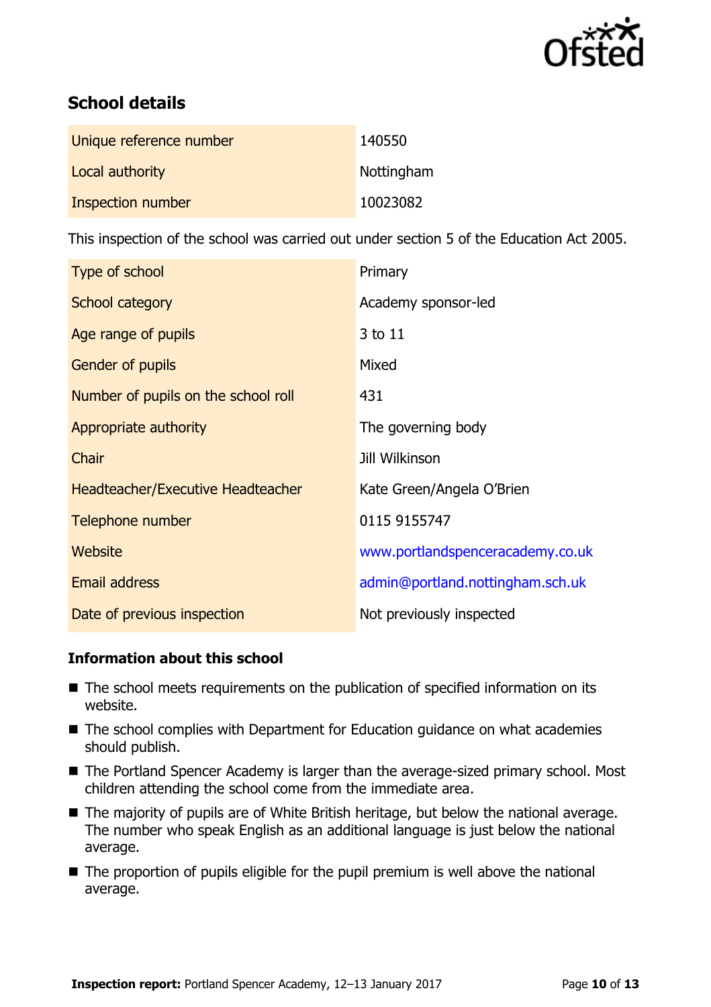

# **School details**

| Unique reference number | 140550     |
|-------------------------|------------|
| Local authority         | Nottingham |
| Inspection number       | 10023082   |

This inspection of the school was carried out under section 5 of the Education Act 2005.

| Type of school                      | Primary                          |
|-------------------------------------|----------------------------------|
| School category                     | Academy sponsor-led              |
| Age range of pupils                 | 3 to 11                          |
| <b>Gender of pupils</b>             | Mixed                            |
| Number of pupils on the school roll | 431                              |
| Appropriate authority               | The governing body               |
| Chair                               | <b>Jill Wilkinson</b>            |
| Headteacher/Executive Headteacher   | Kate Green/Angela O'Brien        |
| Telephone number                    | 0115 9155747                     |
| Website                             | www.portlandspenceracademy.co.uk |
| <b>Email address</b>                | admin@portland.nottingham.sch.uk |
| Date of previous inspection         | Not previously inspected         |

### **Information about this school**

- The school meets requirements on the publication of specified information on its website.
- The school complies with Department for Education guidance on what academies should publish.
- The Portland Spencer Academy is larger than the average-sized primary school. Most children attending the school come from the immediate area.
- The majority of pupils are of White British heritage, but below the national average. The number who speak English as an additional language is just below the national average.
- $\blacksquare$  The proportion of pupils eligible for the pupil premium is well above the national average.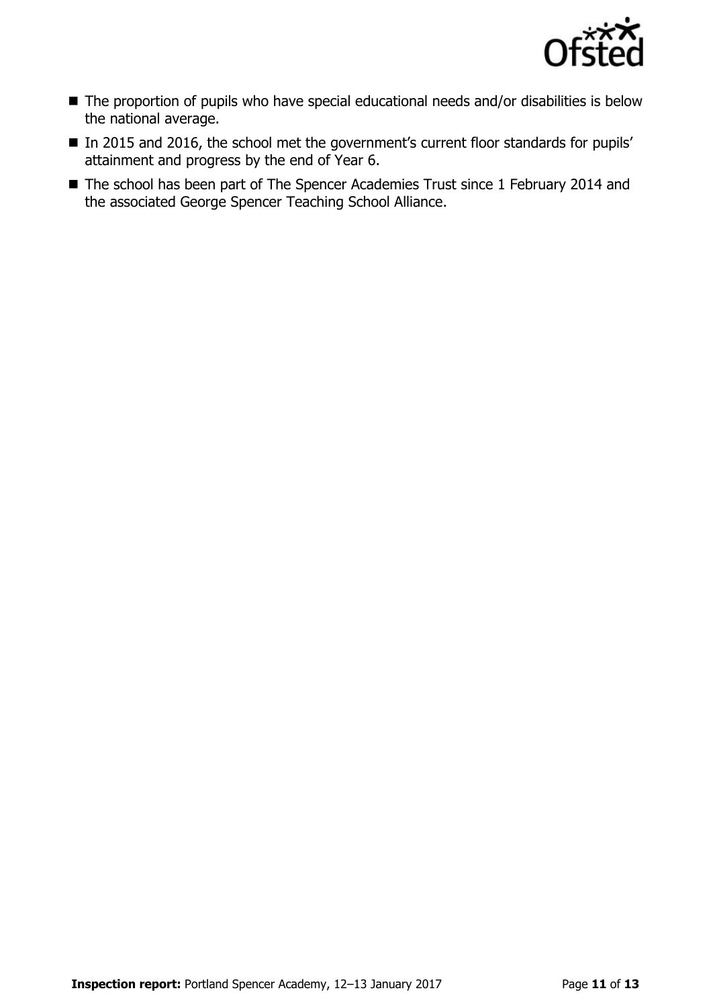

- The proportion of pupils who have special educational needs and/or disabilities is below the national average.
- In 2015 and 2016, the school met the government's current floor standards for pupils' attainment and progress by the end of Year 6.
- The school has been part of The Spencer Academies Trust since 1 February 2014 and the associated George Spencer Teaching School Alliance.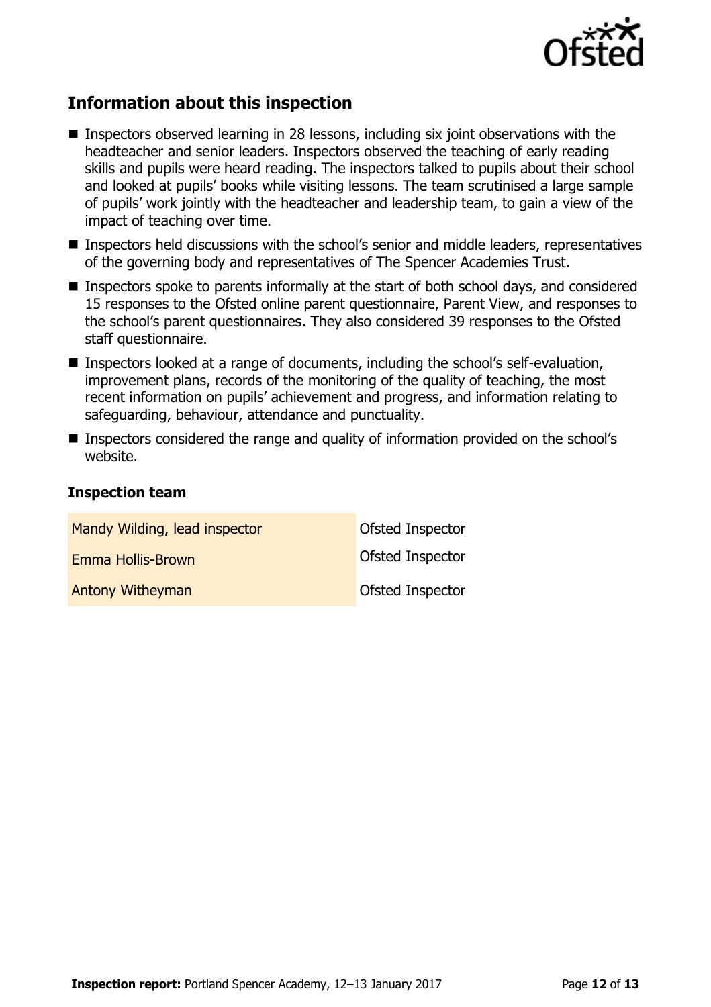

## **Information about this inspection**

- Inspectors observed learning in 28 lessons, including six joint observations with the headteacher and senior leaders. Inspectors observed the teaching of early reading skills and pupils were heard reading. The inspectors talked to pupils about their school and looked at pupils' books while visiting lessons. The team scrutinised a large sample of pupils' work jointly with the headteacher and leadership team, to gain a view of the impact of teaching over time.
- Inspectors held discussions with the school's senior and middle leaders, representatives of the governing body and representatives of The Spencer Academies Trust.
- **Inspectors spoke to parents informally at the start of both school days, and considered** 15 responses to the Ofsted online parent questionnaire, Parent View, and responses to the school's parent questionnaires. They also considered 39 responses to the Ofsted staff questionnaire.
- Inspectors looked at a range of documents, including the school's self-evaluation, improvement plans, records of the monitoring of the quality of teaching, the most recent information on pupils' achievement and progress, and information relating to safeguarding, behaviour, attendance and punctuality.
- Inspectors considered the range and quality of information provided on the school's website.

### **Inspection team**

| Mandy Wilding, lead inspector | <b>Ofsted Inspector</b> |
|-------------------------------|-------------------------|
| Emma Hollis-Brown             | <b>Ofsted Inspector</b> |
| <b>Antony Witheyman</b>       | <b>Ofsted Inspector</b> |